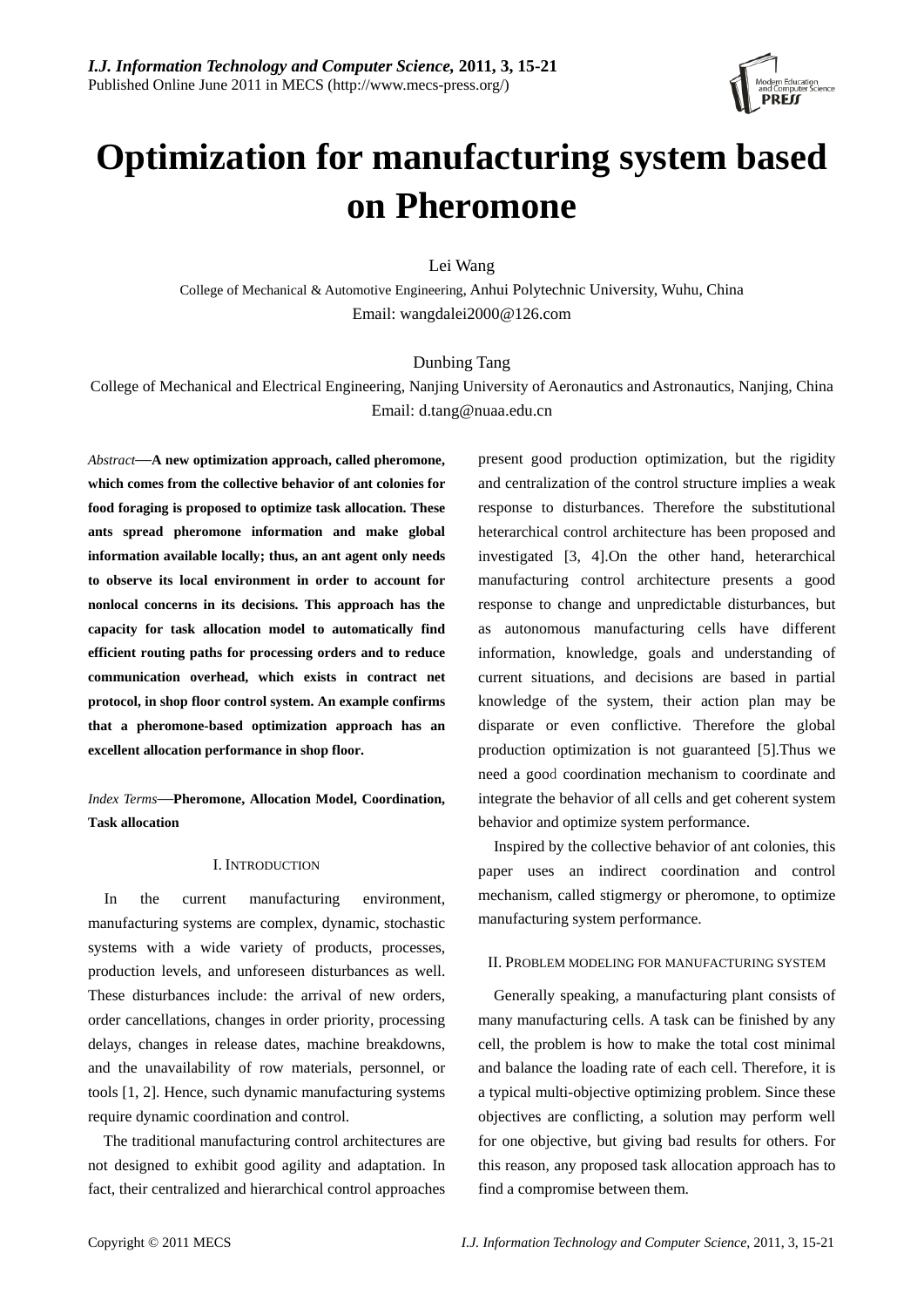

# **Optimization for manufacturing system based on Pheromone**

Lei Wang

College of Mechanical & Automotive Engineering, Anhui Polytechnic University, Wuhu, China Email: wangdalei2000@126.com

### Dunbing Tang

College of Mechanical and Electrical Engineering, Nanjing University of Aeronautics and Astronautics, Nanjing, China Email: d.tang@nuaa.edu.cn

*Abstract*—**A new optimization approach, called pheromone, which comes from the collective behavior of ant colonies for food foraging is proposed to optimize task allocation. These ants spread pheromone information and make global information available locally; thus, an ant agent only needs to observe its local environment in order to account for nonlocal concerns in its decisions. This approach has the capacity for task allocation model to automatically find efficient routing paths for processing orders and to reduce communication overhead, which exists in contract net protocol, in shop floor control system. An example confirms that a pheromone-based optimization approach has an excellent allocation performance in shop floor.** 

*Index Terms*—**Pheromone, Allocation Model, Coordination, Task allocation** 

#### I. INTRODUCTION

In the current manufacturing environment, manufacturing systems are complex, dynamic, stochastic systems with a wide variety of products, processes, production levels, and unforeseen disturbances as well. These disturbances include: the arrival of new orders, order cancellations, changes in order priority, processing delays, changes in release dates, machine breakdowns, and the unavailability of row materials, personnel, or tools [1, 2]. Hence, such dynamic manufacturing systems require dynamic coordination and control.

The traditional manufacturing control architectures are not designed to exhibit good agility and adaptation. In fact, their centralized and hierarchical control approaches present good production optimization, but the rigidity and centralization of the control structure implies a weak response to disturbances. Therefore the substitutional heterarchical control architecture has been proposed and investigated [3, 4].On the other hand, heterarchical manufacturing control architecture presents a good response to change and unpredictable disturbances, but as autonomous manufacturing cells have different information, knowledge, goals and understanding of current situations, and decisions are based in partial knowledge of the system, their action plan may be disparate or even conflictive. Therefore the global production optimization is not guaranteed [5].Thus we need a good coordination mechanism to coordinate and integrate the behavior of all cells and get coherent system behavior and optimize system performance.

Inspired by the collective behavior of ant colonies, this paper uses an indirect coordination and control mechanism, called stigmergy or pheromone, to optimize manufacturing system performance.

#### II. PROBLEM MODELING FOR MANUFACTURING SYSTEM

Generally speaking, a manufacturing plant consists of many manufacturing cells. A task can be finished by any cell, the problem is how to make the total cost minimal and balance the loading rate of each cell. Therefore, it is a typical multi-objective optimizing problem. Since these objectives are conflicting, a solution may perform well for one objective, but giving bad results for others. For this reason, any proposed task allocation approach has to find a compromise between them.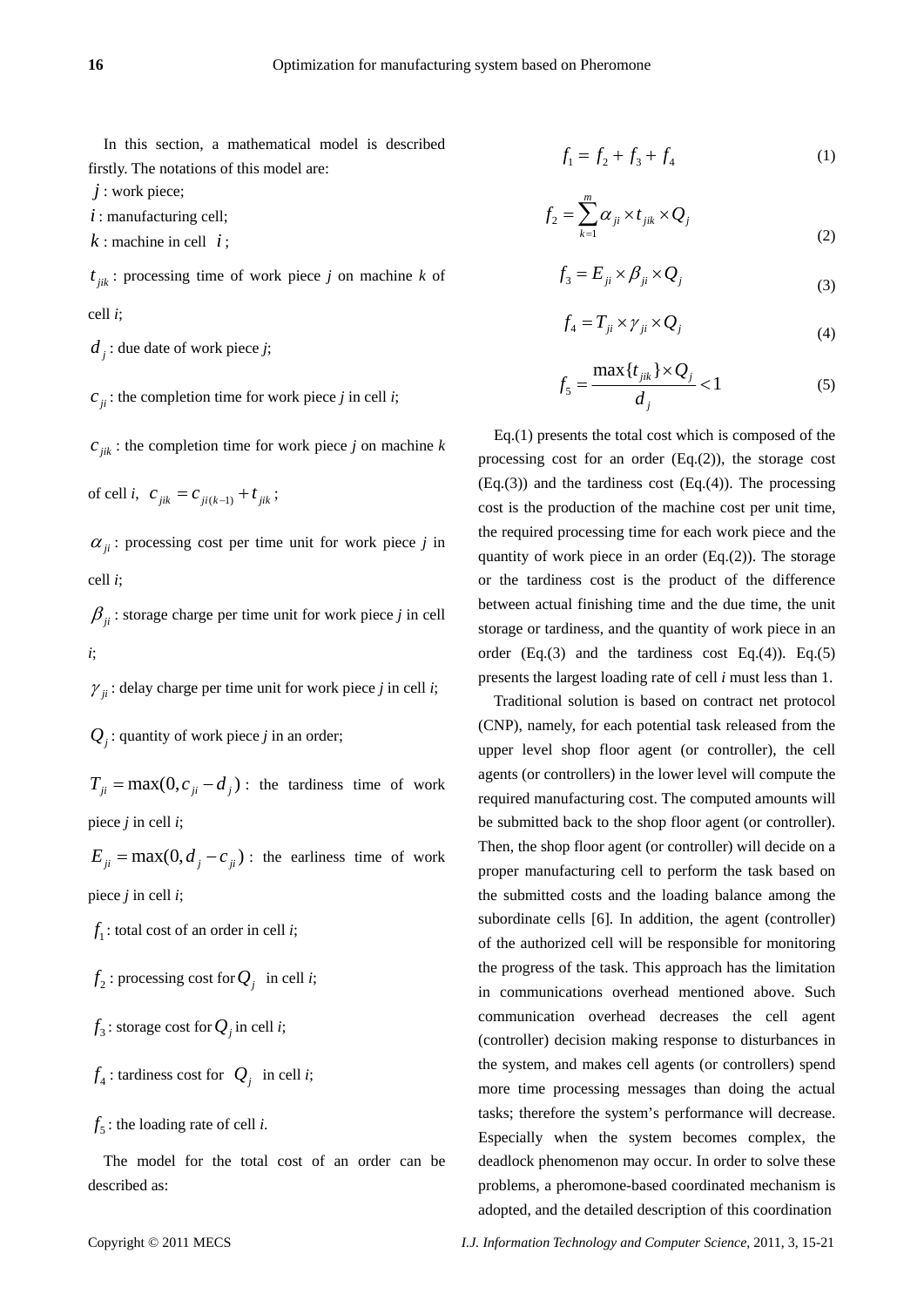In this section, a mathematical model is described firstly. The notations of this model are:

*j* : work piece;

*i* : manufacturing cell;

 $k:$  machine in cell  $i:$ 

 $t_{ijk}$ : processing time of work piece *j* on machine *k* of cell *i*;

 $d_i$  : due date of work piece *j*;

 $c_{ii}$ : the completion time for work piece *j* in cell *i*;

 $c_{ijk}$ : the completion time for work piece *j* on machine *k* 

of cell *i*,  $c_{ijk} = c_{ji(k-1)} + t_{jik}$ ;

 $\alpha_{ii}$ : processing cost per time unit for work piece *j* in cell *i*;

 $\beta_{ii}$ : storage charge per time unit for work piece *j* in cell *i*;

 $\gamma_{ii}$ : delay charge per time unit for work piece *j* in cell *i*;

 $Q_i$ : quantity of work piece *j* in an order;

 $T_{ii} = \max(0, c_{ii} - d_i)$ : the tardiness time of work piece *j* in cell *i*;

 $E_{ii} = \max(0, d_i - c_{ii})$ : the earliness time of work piece *j* in cell *i*;

 $f_1$ : total cost of an order in cell *i*;

 $f_2$ : processing cost for  $Q_i$  in cell *i*;

 $f_3$ : storage cost for  $Q_i$  in cell *i*;

$$
f_4
$$
: tardiness cost for  $Q_j$  in cell *i*;

 $f_5$ : the loading rate of cell *i*.

The model for the total cost of an order can be described as:

$$
f_1 = f_2 + f_3 + f_4 \tag{1}
$$

$$
f_2 = \sum_{k=1}^{m} \alpha_{ji} \times t_{jik} \times Q_j
$$
 (2)

$$
f_3 = E_{ji} \times \beta_{ji} \times Q_j \tag{3}
$$

$$
f_4 = T_{ji} \times \gamma_{ji} \times Q_j \tag{4}
$$

$$
f_5 = \frac{\max\{t_{jik}\} \times Q_j}{d_j} < 1
$$
 (5)

Eq.(1) presents the total cost which is composed of the processing cost for an order (Eq.(2)), the storage cost  $(Eq.(3))$  and the tardiness cost  $(Eq.(4))$ . The processing cost is the production of the machine cost per unit time, the required processing time for each work piece and the quantity of work piece in an order  $(Eq.2)$ ). The storage or the tardiness cost is the product of the difference between actual finishing time and the due time, the unit storage or tardiness, and the quantity of work piece in an order  $(Eq.(3)$  and the tardiness cost  $Eq.(4)$ ).  $Eq.(5)$ presents the largest loading rate of cell *i* must less than 1.

Traditional solution is based on contract net protocol (CNP), namely, for each potential task released from the upper level shop floor agent (or controller), the cell agents (or controllers) in the lower level will compute the required manufacturing cost. The computed amounts will be submitted back to the shop floor agent (or controller). Then, the shop floor agent (or controller) will decide on a proper manufacturing cell to perform the task based on the submitted costs and the loading balance among the subordinate cells [6]. In addition, the agent (controller) of the authorized cell will be responsible for monitoring the progress of the task. This approach has the limitation in communications overhead mentioned above. Such communication overhead decreases the cell agent (controller) decision making response to disturbances in the system, and makes cell agents (or controllers) spend more time processing messages than doing the actual tasks; therefore the system's performance will decrease. Especially when the system becomes complex, the deadlock phenomenon may occur. In order to solve these problems, a pheromone-based coordinated mechanism is adopted, and the detailed description of this coordination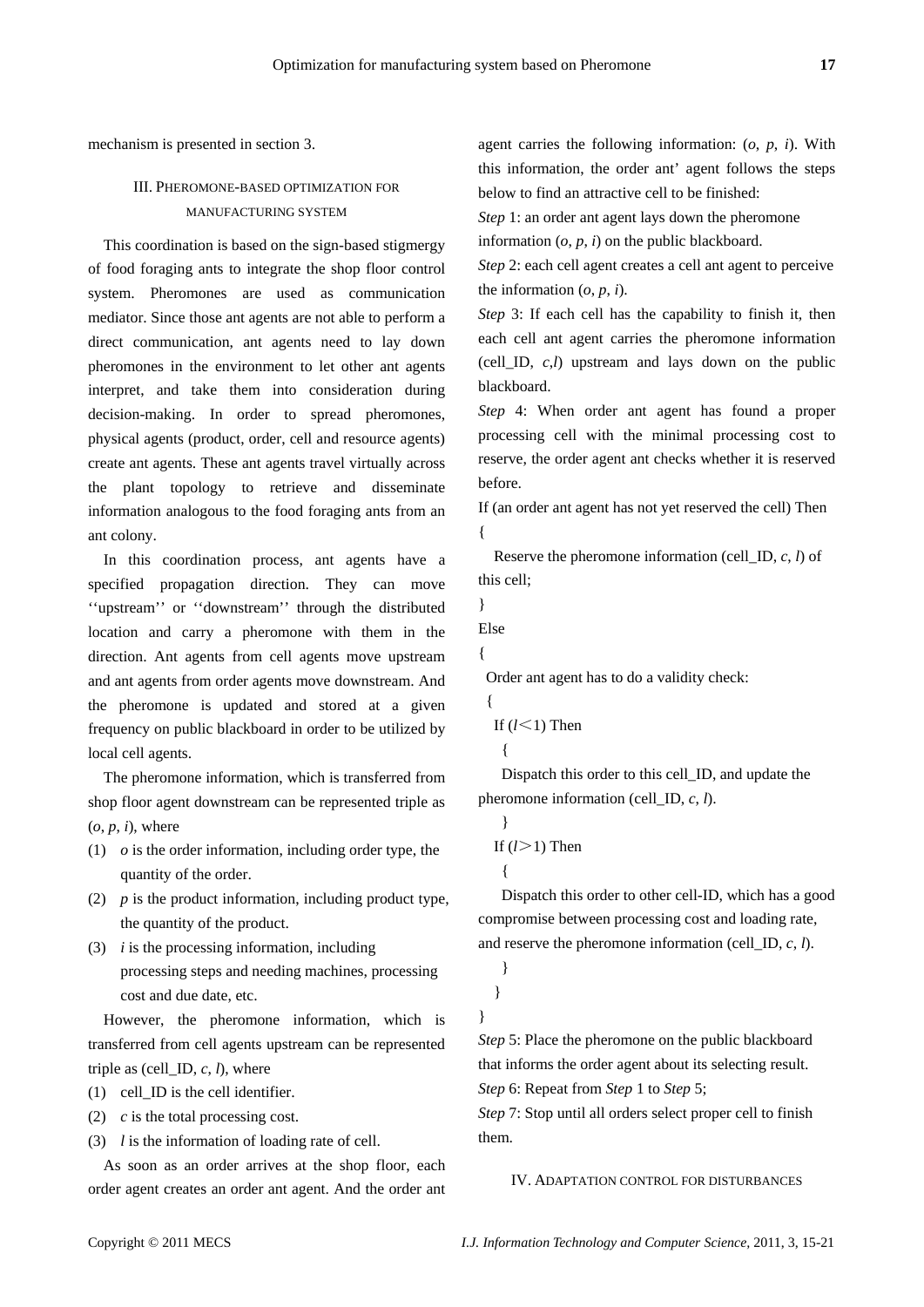mechanism is presented in section 3.

# III. PHEROMONE-BASED OPTIMIZATION FOR MANUFACTURING SYSTEM

This coordination is based on the sign-based stigmergy of food foraging ants to integrate the shop floor control system. Pheromones are used as communication mediator. Since those ant agents are not able to perform a direct communication, ant agents need to lay down pheromones in the environment to let other ant agents interpret, and take them into consideration during decision-making. In order to spread pheromones, physical agents (product, order, cell and resource agents) create ant agents. These ant agents travel virtually across the plant topology to retrieve and disseminate information analogous to the food foraging ants from an ant colony.

In this coordination process, ant agents have a specified propagation direction. They can move ''upstream'' or ''downstream'' through the distributed location and carry a pheromone with them in the direction. Ant agents from cell agents move upstream and ant agents from order agents move downstream. And the pheromone is updated and stored at a given frequency on public blackboard in order to be utilized by local cell agents.

The pheromone information, which is transferred from shop floor agent downstream can be represented triple as  $(o, p, i)$ , where

- (1) *o* is the order information, including order type, the quantity of the order.
- (2) *p* is the product information, including product type, the quantity of the product.
- (3) *i* is the processing information, including processing steps and needing machines, processing cost and due date, etc.

However, the pheromone information, which is transferred from cell agents upstream can be represented triple as (cell ID,  $c$ ,  $l$ ), where

- (1) cell\_ID is the cell identifier.
- (2) *c* is the total processing cost.

(3) *l* is the information of loading rate of cell.

As soon as an order arrives at the shop floor, each order agent creates an order ant agent. And the order ant agent carries the following information: (*o*, *p*, *i*). With this information, the order ant' agent follows the steps below to find an attractive cell to be finished:

*Step* 1: an order ant agent lays down the pheromone information  $(o, p, i)$  on the public blackboard.

*Step* 2: each cell agent creates a cell ant agent to perceive the information  $(o, p, i)$ .

*Step* 3: If each cell has the capability to finish it, then each cell ant agent carries the pheromone information (cell\_ID, *c*,*l*) upstream and lays down on the public blackboard.

*Step* 4: When order ant agent has found a proper processing cell with the minimal processing cost to reserve, the order agent ant checks whether it is reserved before.

If (an order ant agent has not yet reserved the cell) Then {

Reserve the pheromone information (cell\_ID, *c*, *l*) of this cell;

```
}
```
Else

{

{

Order ant agent has to do a validity check:

```
If (l<1) Then
```

```
{
```
Dispatch this order to this cell ID, and update the pheromone information (cell\_ID, *c*, *l*).

```
} 
If (l>1) Then
 {
```
Dispatch this order to other cell-ID, which has a good compromise between processing cost and loading rate, and reserve the pheromone information (cell\_ID, *c*, *l*).

```
}
```
}

}

*Step* 5: Place the pheromone on the public blackboard that informs the order agent about its selecting result. *Step* 6: Repeat from *Step* 1 to *Step* 5;

*Step* 7: Stop until all orders select proper cell to finish them.

IV. ADAPTATION CONTROL FOR DISTURBANCES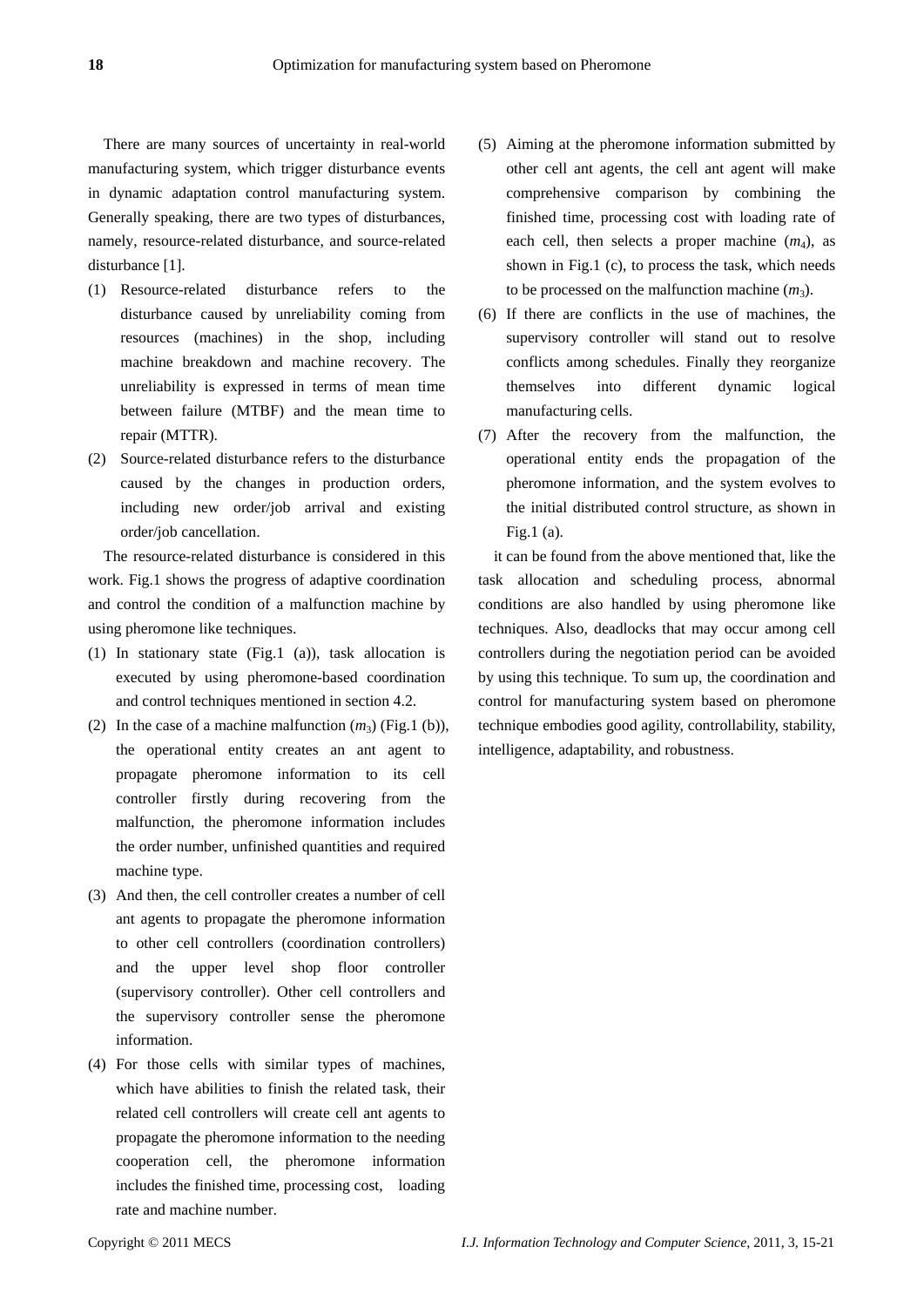There are many sources of uncertainty in real-world manufacturing system, which trigger disturbance events in dynamic adaptation control manufacturing system. Generally speaking, there are two types of disturbances, namely, resource-related disturbance, and source-related disturbance [1].

- (1) Resource-related disturbance refers to the disturbance caused by unreliability coming from resources (machines) in the shop, including machine breakdown and machine recovery. The unreliability is expressed in terms of mean time between failure (MTBF) and the mean time to repair (MTTR).
- (2) Source-related disturbance refers to the disturbance caused by the changes in production orders, including new order/job arrival and existing order/job cancellation.

The resource-related disturbance is considered in this work. Fig.1 shows the progress of adaptive coordination and control the condition of a malfunction machine by using pheromone like techniques.

- (1) In stationary state (Fig.1 (a)), task allocation is executed by using pheromone-based coordination and control techniques mentioned in section 4.2.
- (2) In the case of a machine malfunction  $(m_3)$  (Fig.1 (b)), the operational entity creates an ant agent to propagate pheromone information to its cell controller firstly during recovering from the malfunction, the pheromone information includes the order number, unfinished quantities and required machine type.
- (3) And then, the cell controller creates a number of cell ant agents to propagate the pheromone information to other cell controllers (coordination controllers) and the upper level shop floor controller (supervisory controller). Other cell controllers and the supervisory controller sense the pheromone information.
- (4) For those cells with similar types of machines, which have abilities to finish the related task, their related cell controllers will create cell ant agents to propagate the pheromone information to the needing cooperation cell, the pheromone information includes the finished time, processing cost, loading rate and machine number.
- (5) Aiming at the pheromone information submitted by other cell ant agents, the cell ant agent will make comprehensive comparison by combining the finished time, processing cost with loading rate of each cell, then selects a proper machine  $(m_4)$ , as shown in Fig.1 (c), to process the task, which needs to be processed on the malfunction machine  $(m_3)$ .
- (6) If there are conflicts in the use of machines, the supervisory controller will stand out to resolve conflicts among schedules. Finally they reorganize themselves into different dynamic logical manufacturing cells.
- (7) After the recovery from the malfunction, the operational entity ends the propagation of the pheromone information, and the system evolves to the initial distributed control structure, as shown in Fig.1 (a).

it can be found from the above mentioned that, like the task allocation and scheduling process, abnormal conditions are also handled by using pheromone like techniques. Also, deadlocks that may occur among cell controllers during the negotiation period can be avoided by using this technique. To sum up, the coordination and control for manufacturing system based on pheromone technique embodies good agility, controllability, stability, intelligence, adaptability, and robustness.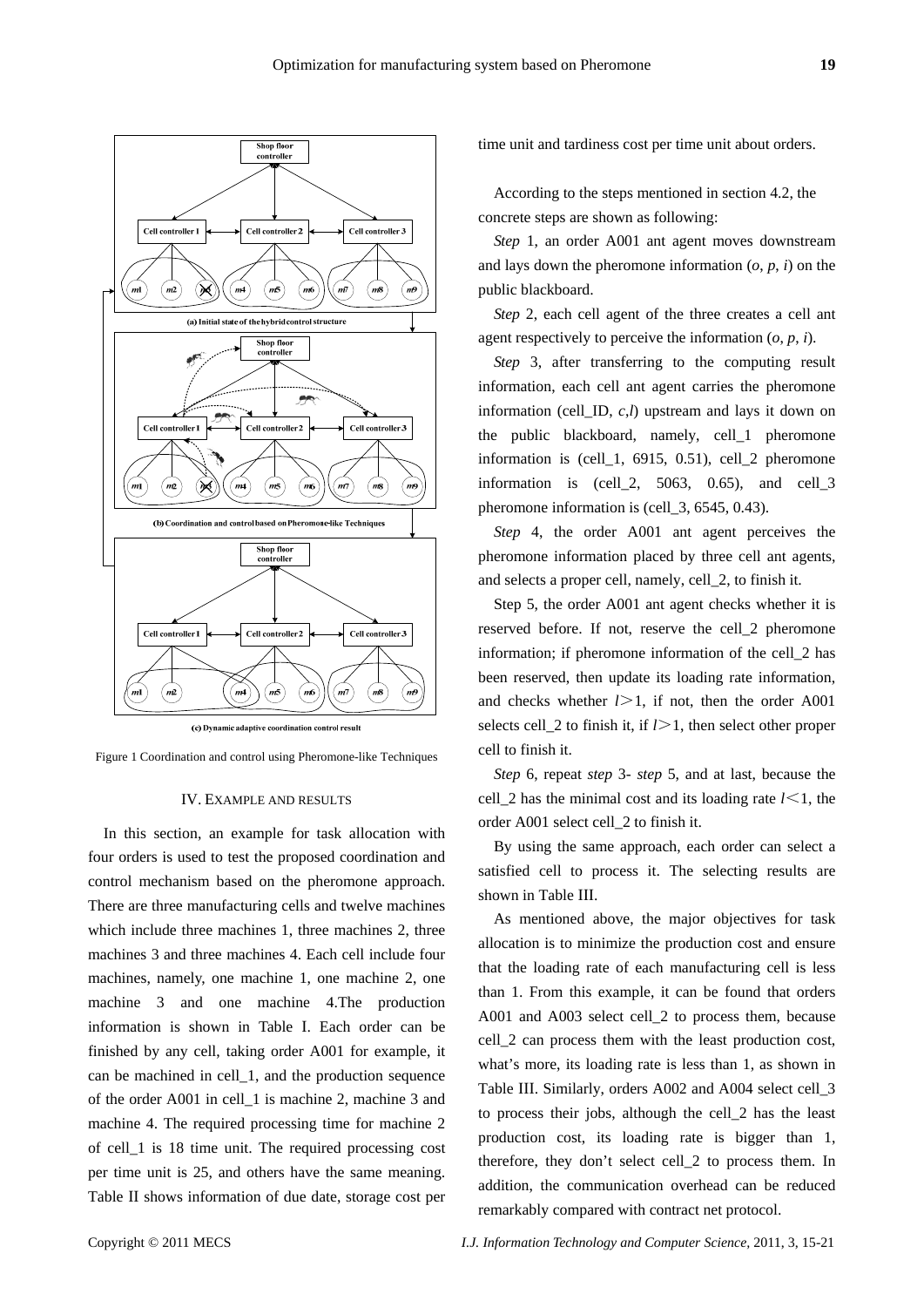

(c) Dynamic adaptive coordination control result



#### IV. EXAMPLE AND RESULTS

In this section, an example for task allocation with four orders is used to test the proposed coordination and control mechanism based on the pheromone approach. There are three manufacturing cells and twelve machines which include three machines 1, three machines 2, three machines 3 and three machines 4. Each cell include four machines, namely, one machine 1, one machine 2, one machine 3 and one machine 4.The production information is shown in Table I. Each order can be finished by any cell, taking order A001 for example, it can be machined in cell\_1, and the production sequence of the order A001 in cell\_1 is machine 2, machine 3 and machine 4. The required processing time for machine 2 of cell\_1 is 18 time unit. The required processing cost per time unit is 25, and others have the same meaning. Table II shows information of due date, storage cost per time unit and tardiness cost per time unit about orders.

According to the steps mentioned in section 4.2, the concrete steps are shown as following:

*Step* 1, an order A001 ant agent moves downstream and lays down the pheromone information  $(o, p, i)$  on the public blackboard.

*Step* 2, each cell agent of the three creates a cell ant agent respectively to perceive the information  $(o, p, i)$ .

*Step* 3, after transferring to the computing result information, each cell ant agent carries the pheromone information (cell\_ID, *c*,*l*) upstream and lays it down on the public blackboard, namely, cell\_1 pheromone information is (cell\_1, 6915, 0.51), cell\_2 pheromone information is  $\text{(cell\_2, 5063, 0.65)}$ , and cell $\text{I}3$ pheromone information is (cell\_3, 6545, 0.43).

*Step* 4, the order A001 ant agent perceives the pheromone information placed by three cell ant agents, and selects a proper cell, namely, cell\_2, to finish it.

Step 5, the order A001 ant agent checks whether it is reserved before. If not, reserve the cell\_2 pheromone information; if pheromone information of the cell\_2 has been reserved, then update its loading rate information, and checks whether *l*>1, if not, then the order A001 selects cell 2 to finish it, if *l*>1, then select other proper cell to finish it.

*Step* 6, repeat *step* 3- *step* 5, and at last, because the cell<sub>\_2</sub> has the minimal cost and its loading rate *, the* order A001 select cell\_2 to finish it.

By using the same approach, each order can select a satisfied cell to process it. The selecting results are shown in Table III.

As mentioned above, the major objectives for task allocation is to minimize the production cost and ensure that the loading rate of each manufacturing cell is less than 1. From this example, it can be found that orders A001 and A003 select cell\_2 to process them, because cell\_2 can process them with the least production cost, what's more, its loading rate is less than 1, as shown in Table III. Similarly, orders A002 and A004 select cell\_3 to process their jobs, although the cell\_2 has the least production cost, its loading rate is bigger than 1, therefore, they don't select cell\_2 to process them. In addition, the communication overhead can be reduced remarkably compared with contract net protocol.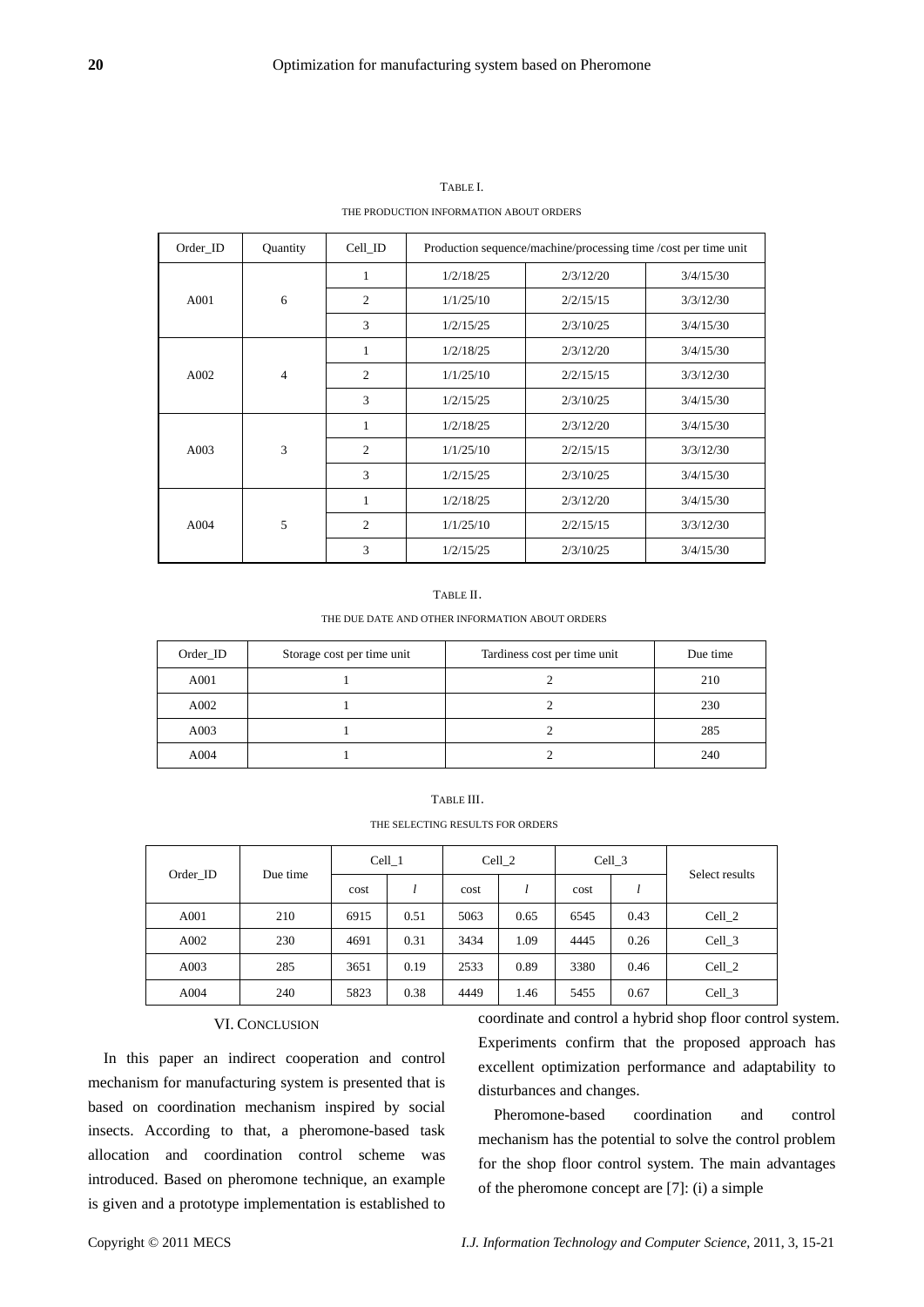| Order ID | Quantity       | Cell_ID | Production sequence/machine/processing time /cost per time unit |           |           |  |  |
|----------|----------------|---------|-----------------------------------------------------------------|-----------|-----------|--|--|
| A001     | 6              | 1       | 1/2/18/25                                                       | 2/3/12/20 | 3/4/15/30 |  |  |
|          |                | 2       | 1/1/25/10                                                       | 2/2/15/15 | 3/3/12/30 |  |  |
|          |                | 3       | 1/2/15/25                                                       | 2/3/10/25 | 3/4/15/30 |  |  |
| A002     | $\overline{4}$ | 1       | 1/2/18/25                                                       | 2/3/12/20 | 3/4/15/30 |  |  |
|          |                | 2       | 1/1/25/10                                                       | 2/2/15/15 | 3/3/12/30 |  |  |
|          |                | 3       | 1/2/15/25                                                       | 2/3/10/25 | 3/4/15/30 |  |  |
| A003     | 3              | 1       | 1/2/18/25                                                       | 2/3/12/20 | 3/4/15/30 |  |  |
|          |                | 2       | 1/1/25/10                                                       | 2/2/15/15 | 3/3/12/30 |  |  |
|          |                | 3       | 1/2/15/25                                                       | 2/3/10/25 | 3/4/15/30 |  |  |
| A004     | 5              | 1       | 1/2/18/25                                                       | 2/3/12/20 | 3/4/15/30 |  |  |
|          |                | 2       | 1/1/25/10                                                       | 2/2/15/15 | 3/3/12/30 |  |  |
|          |                | 3       | 1/2/15/25                                                       | 2/3/10/25 | 3/4/15/30 |  |  |

TABLE I. THE PRODUCTION INFORMATION ABOUT ORDERS

#### TABLE II.

#### THE DUE DATE AND OTHER INFORMATION ABOUT ORDERS

| Order_ID | Storage cost per time unit | Tardiness cost per time unit | Due time |
|----------|----------------------------|------------------------------|----------|
| A001     |                            |                              | 210      |
| A002     |                            |                              | 230      |
| A003     |                            |                              | 285      |
| A004     |                            |                              | 240      |

# TABLE III. THE SELECTING RESULTS FOR ORDERS

| Order ID | Due time | Cell 1 |      | Cell 2 |      | Cell 3 |      | Select results |
|----------|----------|--------|------|--------|------|--------|------|----------------|
|          |          | cost   |      | cost   |      | cost   |      |                |
| A001     | 210      | 6915   | 0.51 | 5063   | 0.65 | 6545   | 0.43 | Cell 2         |
| A002     | 230      | 4691   | 0.31 | 3434   | 1.09 | 4445   | 0.26 | Cell 3         |
| A003     | 285      | 3651   | 0.19 | 2533   | 0.89 | 3380   | 0.46 | Cell 2         |
| A004     | 240      | 5823   | 0.38 | 4449   | 1.46 | 5455   | 0.67 | Cell_3         |

# VI. CONCLUSION

In this paper an indirect cooperation and control mechanism for manufacturing system is presented that is based on coordination mechanism inspired by social insects. According to that, a pheromone-based task allocation and coordination control scheme was introduced. Based on pheromone technique, an example is given and a prototype implementation is established to

coordinate and control a hybrid shop floor control system. Experiments confirm that the proposed approach has excellent optimization performance and adaptability to disturbances and changes.

Pheromone-based coordination and control mechanism has the potential to solve the control problem for the shop floor control system. The main advantages of the pheromone concept are [7]: (i) a simple